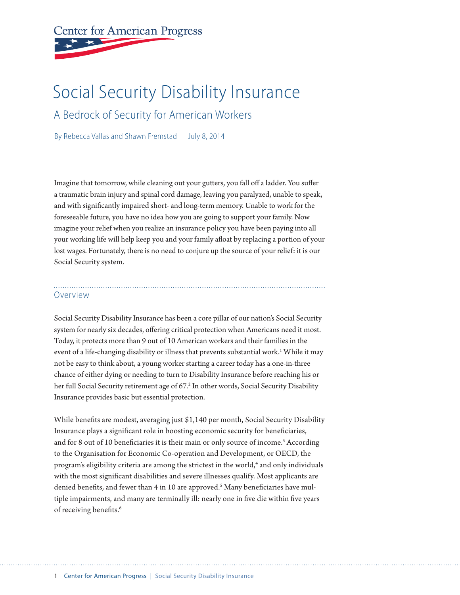# **Center for American Progress**

## Social Security Disability Insurance

A Bedrock of Security for American Workers

By Rebecca Vallas and Shawn Fremstad July 8, 2014

Imagine that tomorrow, while cleaning out your gutters, you fall off a ladder. You suffer a traumatic brain injury and spinal cord damage, leaving you paralyzed, unable to speak, and with significantly impaired short- and long-term memory. Unable to work for the foreseeable future, you have no idea how you are going to support your family. Now imagine your relief when you realize an insurance policy you have been paying into all your working life will help keep you and your family afloat by replacing a portion of your lost wages. Fortunately, there is no need to conjure up the source of your relief: it is our Social Security system.

#### Overview

Social Security Disability Insurance has been a core pillar of our nation's Social Security system for nearly six decades, offering critical protection when Americans need it most. Today, it protects more than 9 out of 10 American workers and their families in the event of a life-changing disability or illness that prevents substantial work.<sup>1</sup> While it may not be easy to think about, a young worker starting a career today has a one-in-three chance of either dying or needing to turn to Disability Insurance before reaching his or her full Social Security retirement age of 67.<sup>2</sup> In other words, Social Security Disability Insurance provides basic but essential protection.

While benefits are modest, averaging just \$1,140 per month, Social Security Disability Insurance plays a significant role in boosting economic security for beneficiaries, and for 8 out of 10 beneficiaries it is their main or only source of income.<sup>3</sup> According to the Organisation for Economic Co-operation and Development, or OECD, the program's eligibility criteria are among the strictest in the world,<sup>4</sup> and only individuals with the most significant disabilities and severe illnesses qualify. Most applicants are denied benefits, and fewer than 4 in 10 are approved.<sup>5</sup> Many beneficiaries have multiple impairments, and many are terminally ill: nearly one in five die within five years of receiving benefits.<sup>6</sup>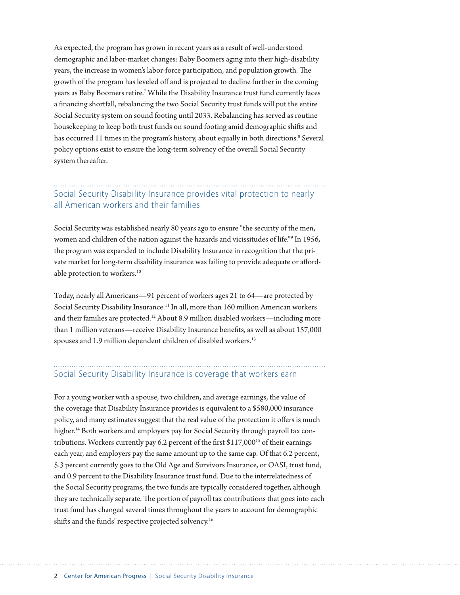As expected, the program has grown in recent years as a result of well-understood demographic and labor-market changes: Baby Boomers aging into their high-disability years, the increase in women's labor-force participation, and population growth. The growth of the program has leveled off and is projected to decline further in the coming years as Baby Boomers retire.7 While the Disability Insurance trust fund currently faces a financing shortfall, rebalancing the two Social Security trust funds will put the entire Social Security system on sound footing until 2033. Rebalancing has served as routine housekeeping to keep both trust funds on sound footing amid demographic shifts and has occurred 11 times in the program's history, about equally in both directions.<sup>8</sup> Several policy options exist to ensure the long-term solvency of the overall Social Security system thereafter.

## Social Security Disability Insurance provides vital protection to nearly all American workers and their families

Social Security was established nearly 80 years ago to ensure "the security of the men, women and children of the nation against the hazards and vicissitudes of life."9 In 1956, the program was expanded to include Disability Insurance in recognition that the private market for long-term disability insurance was failing to provide adequate or affordable protection to workers.<sup>10</sup>

Today, nearly all Americans—91 percent of workers ages 21 to 64—are protected by Social Security Disability Insurance.<sup>11</sup> In all, more than 160 million American workers and their families are protected.<sup>12</sup> About 8.9 million disabled workers—including more than 1 million veterans—receive Disability Insurance benefits, as well as about 157,000 spouses and 1.9 million dependent children of disabled workers.<sup>13</sup>

#### Social Security Disability Insurance is coverage that workers earn

For a young worker with a spouse, two children, and average earnings, the value of the coverage that Disability Insurance provides is equivalent to a \$580,000 insurance policy, and many estimates suggest that the real value of the protection it offers is much higher.<sup>14</sup> Both workers and employers pay for Social Security through payroll tax contributions. Workers currently pay 6.2 percent of the first  $$117,000^{15}$  of their earnings each year, and employers pay the same amount up to the same cap. Of that 6.2 percent, 5.3 percent currently goes to the Old Age and Survivors Insurance, or OASI, trust fund, and 0.9 percent to the Disability Insurance trust fund. Due to the interrelatedness of the Social Security programs, the two funds are typically considered together, although they are technically separate. The portion of payroll tax contributions that goes into each trust fund has changed several times throughout the years to account for demographic shifts and the funds' respective projected solvency.<sup>16</sup>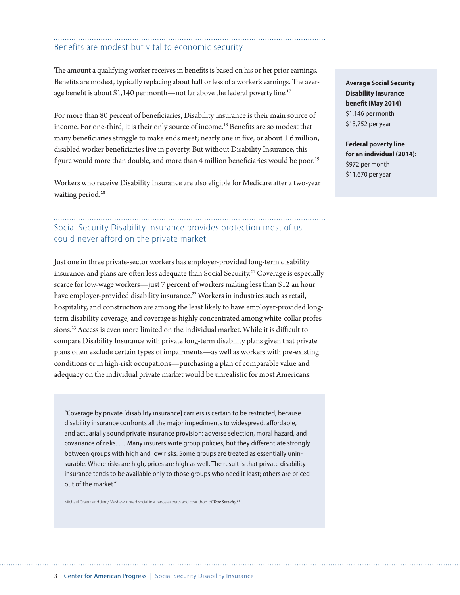#### Benefits are modest but vital to economic security

The amount a qualifying worker receives in benefits is based on his or her prior earnings. Benefits are modest, typically replacing about half or less of a worker's earnings. The average benefit is about \$1,140 per month—not far above the federal poverty line.<sup>17</sup>

For more than 80 percent of beneficiaries, Disability Insurance is their main source of income. For one-third, it is their only source of income.18 Benefits are so modest that many beneficiaries struggle to make ends meet; nearly one in five, or about 1.6 million, disabled-worker beneficiaries live in poverty. But without Disability Insurance, this figure would more than double, and more than 4 million beneficiaries would be poor.<sup>19</sup>

Workers who receive Disability Insurance are also eligible for Medicare after a two-year waiting period.**<sup>20</sup>**

## Social Security Disability Insurance provides protection most of us could never afford on the private market

Just one in three private-sector workers has employer-provided long-term disability insurance, and plans are often less adequate than Social Security.<sup>21</sup> Coverage is especially scarce for low-wage workers—just 7 percent of workers making less than \$12 an hour have employer-provided disability insurance.<sup>22</sup> Workers in industries such as retail, hospitality, and construction are among the least likely to have employer-provided longterm disability coverage, and coverage is highly concentrated among white-collar professions.23 Access is even more limited on the individual market. While it is difficult to compare Disability Insurance with private long-term disability plans given that private plans often exclude certain types of impairments—as well as workers with pre-existing conditions or in high-risk occupations—purchasing a plan of comparable value and adequacy on the individual private market would be unrealistic for most Americans.

"Coverage by private [disability insurance] carriers is certain to be restricted, because disability insurance confronts all the major impediments to widespread, affordable, and actuarially sound private insurance provision: adverse selection, moral hazard, and covariance of risks. … Many insurers write group policies, but they differentiate strongly between groups with high and low risks. Some groups are treated as essentially uninsurable. Where risks are high, prices are high as well. The result is that private disability insurance tends to be available only to those groups who need it least; others are priced out of the market."

Michael Graetz and Jerry Mashaw, noted social insurance experts and coauthors of *True Security*. 24

**Average Social Security Disability Insurance benefit (May 2014)**  \$1,146 per month \$13,752 per year

**Federal poverty line for an individual (2014):**  \$972 per month \$11,670 per year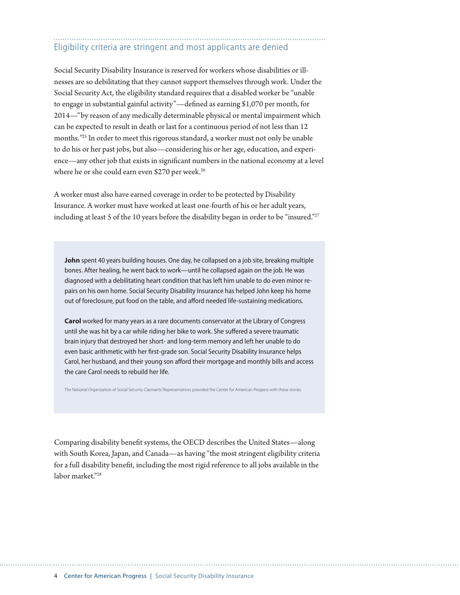## Eligibility criteria are stringent and most applicants are denied

Social Security Disability Insurance is reserved for workers whose disabilities or illnesses are so debilitating that they cannot support themselves through work. Under the Social Security Act, the eligibility standard requires that a disabled worker be "unable to engage in substantial gainful activity"*—*defined as earning \$1,070 per month, for 2014—"by reason of any medically determinable physical or mental impairment which can be expected to result in death or last for a continuous period of not less than 12 months*."*25 In order to meet this rigorous standard, a worker must not only be unable to do his or her past jobs, but also—considering his or her age, education, and experience—any other job that exists in significant numbers in the national economy at a level where he or she could earn even \$270 per week.<sup>26</sup>

A worker must also have earned coverage in order to be protected by Disability Insurance. A worker must have worked at least one-fourth of his or her adult years, including at least 5 of the 10 years before the disability began in order to be "insured."<sup>27</sup>

John spent 40 years building houses. One day, he collapsed on a job site, breaking multiple bones. After healing, he went back to work—until he collapsed again on the job. He was diagnosed with a debilitating heart condition that has left him unable to do even minor repairs on his own home. Social Security Disability Insurance has helped John keep his home out of foreclosure, put food on the table, and afford needed life-sustaining medications.

**Carol** worked for many years as a rare documents conservator at the Library of Congress until she was hit by a car while riding her bike to work. She suffered a severe traumatic brain injury that destroyed her short- and long-term memory and left her unable to do even basic arithmetic with her first-grade son. Social Security Disability Insurance helps Carol, her husband, and their young son afford their mortgage and monthly bills and access the care Carol needs to rebuild her life.

The National Organization of Social Security Claimants' Representatives provided the Center for American Progress with these stories.

Comparing disability benefit systems, the OECD describes the United States—along with South Korea, Japan, and Canada—as having "the most stringent eligibility criteria for a full disability benefit, including the most rigid reference to all jobs available in the labor market."28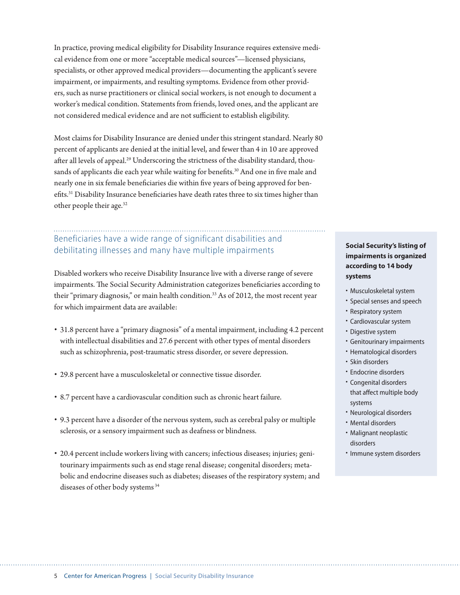In practice, proving medical eligibility for Disability Insurance requires extensive medical evidence from one or more "acceptable medical sources"—licensed physicians, specialists, or other approved medical providers—documenting the applicant's severe impairment, or impairments, and resulting symptoms. Evidence from other providers, such as nurse practitioners or clinical social workers, is not enough to document a worker's medical condition. Statements from friends, loved ones, and the applicant are not considered medical evidence and are not sufficient to establish eligibility.

Most claims for Disability Insurance are denied under this stringent standard. Nearly 80 percent of applicants are denied at the initial level, and fewer than 4 in 10 are approved after all levels of appeal.<sup>29</sup> Underscoring the strictness of the disability standard, thousands of applicants die each year while waiting for benefits.<sup>30</sup> And one in five male and nearly one in six female beneficiaries die within five years of being approved for benefits.31 Disability Insurance beneficiaries have death rates three to six times higher than other people their age.32

## Beneficiaries have a wide range of significant disabilities and debilitating illnesses and many have multiple impairments

Disabled workers who receive Disability Insurance live with a diverse range of severe impairments. The Social Security Administration categorizes beneficiaries according to their "primary diagnosis," or main health condition.<sup>33</sup> As of 2012, the most recent year for which impairment data are available:

- 31.8 percent have a "primary diagnosis" of a mental impairment, including 4.2 percent with intellectual disabilities and 27.6 percent with other types of mental disorders such as schizophrenia, post-traumatic stress disorder, or severe depression.
- 29.8 percent have a musculoskeletal or connective tissue disorder.
- 8.7 percent have a cardiovascular condition such as chronic heart failure.
- 9.3 percent have a disorder of the nervous system, such as cerebral palsy or multiple sclerosis, or a sensory impairment such as deafness or blindness.
- 20.4 percent include workers living with cancers; infectious diseases; injuries; genitourinary impairments such as end stage renal disease; congenital disorders; metabolic and endocrine diseases such as diabetes; diseases of the respiratory system; and diseases of other body systems 34

#### **Social Security's listing of impairments is organized according to 14 body systems**

- Musculoskeletal system
- Special senses and speech
- Respiratory system
- Cardiovascular system
- Digestive system
- Genitourinary impairments
- Hematological disorders
- Skin disorders
- Endocrine disorders
- Congenital disorders that affect multiple body systems
- Neurological disorders
- Mental disorders
- Malignant neoplastic disorders
- Immune system disorders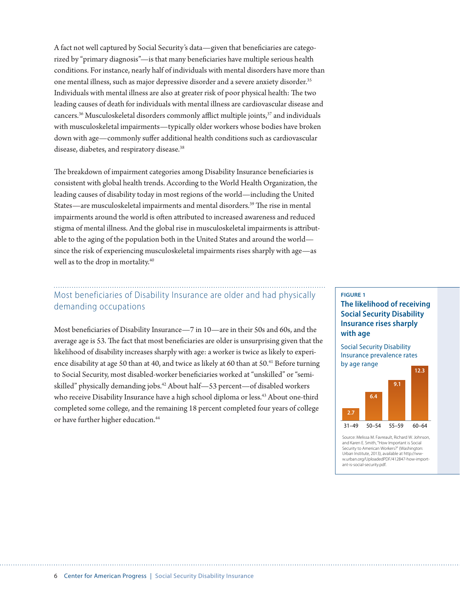A fact not well captured by Social Security's data—given that beneficiaries are categorized by "primary diagnosis"—is that many beneficiaries have multiple serious health conditions. For instance, nearly half of individuals with mental disorders have more than one mental illness, such as major depressive disorder and a severe anxiety disorder.35 Individuals with mental illness are also at greater risk of poor physical health: The two leading causes of death for individuals with mental illness are cardiovascular disease and cancers.<sup>36</sup> Musculoskeletal disorders commonly afflict multiple joints,<sup>37</sup> and individuals with musculoskeletal impairments—typically older workers whose bodies have broken down with age—commonly suffer additional health conditions such as cardiovascular disease, diabetes, and respiratory disease.<sup>38</sup>

The breakdown of impairment categories among Disability Insurance beneficiaries is consistent with global health trends. According to the World Health Organization, the leading causes of disability today in most regions of the world—including the United States—are musculoskeletal impairments and mental disorders.39 The rise in mental impairments around the world is often attributed to increased awareness and reduced stigma of mental illness. And the global rise in musculoskeletal impairments is attributable to the aging of the population both in the United States and around the world since the risk of experiencing musculoskeletal impairments rises sharply with age—as well as to the drop in mortality.<sup>40</sup>

## Most beneficiaries of Disability Insurance are older and had physically demanding occupations

Most beneficiaries of Disability Insurance—7 in 10—are in their 50s and 60s, and the average age is 53. The fact that most beneficiaries are older is unsurprising given that the likelihood of disability increases sharply with age: a worker is twice as likely to experience disability at age 50 than at 40, and twice as likely at 60 than at 50.<sup>41</sup> Before turning to Social Security, most disabled-worker beneficiaries worked at "unskilled" or "semiskilled" physically demanding jobs.<sup>42</sup> About half—53 percent—of disabled workers who receive Disability Insurance have a high school diploma or less.<sup>43</sup> About one-third completed some college, and the remaining 18 percent completed four years of college or have further higher education.<sup>44</sup>

#### **FIGURE 1 The likelihood of receiving Social Security Disability Insurance rises sharply with age**

Social Security Disability Insurance prevalence rates by age range



Source: Melissa M. Favreault, Richard W. Johnson, and Karen E. Smith, "How Important is Social Security to American Workers?" (Washington: Urban Institute, 2013), available at http://www.urban.org/UploadedPDF/412847-how-important-is-social-security.pdf.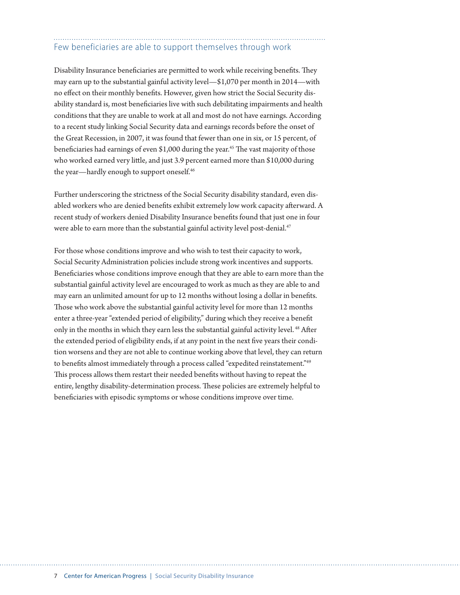## Few beneficiaries are able to support themselves through work

Disability Insurance beneficiaries are permitted to work while receiving benefits. They may earn up to the substantial gainful activity level—\$1,070 per month in 2014—with no effect on their monthly benefits. However, given how strict the Social Security disability standard is, most beneficiaries live with such debilitating impairments and health conditions that they are unable to work at all and most do not have earnings. According to a recent study linking Social Security data and earnings records before the onset of the Great Recession, in 2007, it was found that fewer than one in six, or 15 percent, of beneficiaries had earnings of even \$1,000 during the year.<sup>45</sup> The vast majority of those who worked earned very little, and just 3.9 percent earned more than \$10,000 during the year—hardly enough to support oneself.<sup>46</sup>

Further underscoring the strictness of the Social Security disability standard, even disabled workers who are denied benefits exhibit extremely low work capacity afterward. A recent study of workers denied Disability Insurance benefits found that just one in four were able to earn more than the substantial gainful activity level post-denial.<sup>47</sup>

For those whose conditions improve and who wish to test their capacity to work, Social Security Administration policies include strong work incentives and supports. Beneficiaries whose conditions improve enough that they are able to earn more than the substantial gainful activity level are encouraged to work as much as they are able to and may earn an unlimited amount for up to 12 months without losing a dollar in benefits. Those who work above the substantial gainful activity level for more than 12 months enter a three-year "extended period of eligibility," during which they receive a benefit only in the months in which they earn less the substantial gainful activity level. 48 After the extended period of eligibility ends, if at any point in the next five years their condition worsens and they are not able to continue working above that level, they can return to benefits almost immediately through a process called "expedited reinstatement."49 This process allows them restart their needed benefits without having to repeat the entire, lengthy disability-determination process. These policies are extremely helpful to beneficiaries with episodic symptoms or whose conditions improve over time.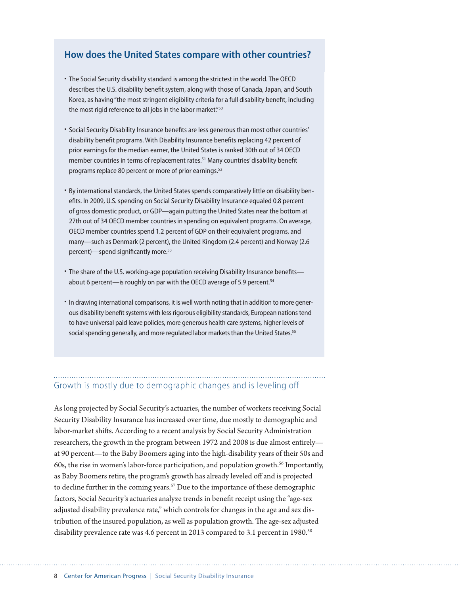#### **How does the United States compare with other countries?**

- The Social Security disability standard is among the strictest in the world. The OECD describes the U.S. disability benefit system, along with those of Canada, Japan, and South Korea, as having "the most stringent eligibility criteria for a full disability benefit, including the most rigid reference to all jobs in the labor market."<sup>50</sup>
- Social Security Disability Insurance benefits are less generous than most other countries' disability benefit programs. With Disability Insurance benefits replacing 42 percent of prior earnings for the median earner, the United States is ranked 30th out of 34 OECD member countries in terms of replacement rates.<sup>51</sup> Many countries' disability benefit programs replace 80 percent or more of prior earnings.<sup>52</sup>
- By international standards, the United States spends comparatively little on disability benefits. In 2009, U.S. spending on Social Security Disability Insurance equaled 0.8 percent of gross domestic product, or GDP—again putting the United States near the bottom at 27th out of 34 OECD member countries in spending on equivalent programs. On average, OECD member countries spend 1.2 percent of GDP on their equivalent programs, and many—such as Denmark (2 percent), the United Kingdom (2.4 percent) and Norway (2.6 percent)—spend significantly more.<sup>53</sup>
- The share of the U.S. working-age population receiving Disability Insurance benefits about 6 percent—is roughly on par with the OECD average of 5.9 percent.<sup>54</sup>
- In drawing international comparisons, it is well worth noting that in addition to more generous disability benefit systems with less rigorous eligibility standards, European nations tend to have universal paid leave policies, more generous health care systems, higher levels of social spending generally, and more regulated labor markets than the United States.<sup>55</sup>

#### Growth is mostly due to demographic changes and is leveling off

As long projected by Social Security's actuaries, the number of workers receiving Social Security Disability Insurance has increased over time, due mostly to demographic and labor-market shifts. According to a recent analysis by Social Security Administration researchers, the growth in the program between 1972 and 2008 is due almost entirely at 90 percent—to the Baby Boomers aging into the high-disability years of their 50s and 60s, the rise in women's labor-force participation, and population growth.<sup>56</sup> Importantly, as Baby Boomers retire, the program's growth has already leveled off and is projected to decline further in the coming years.<sup>57</sup> Due to the importance of these demographic factors, Social Security's actuaries analyze trends in benefit receipt using the "age-sex adjusted disability prevalence rate," which controls for changes in the age and sex distribution of the insured population, as well as population growth. The age-sex adjusted disability prevalence rate was 4.6 percent in 2013 compared to 3.1 percent in 1980.<sup>58</sup>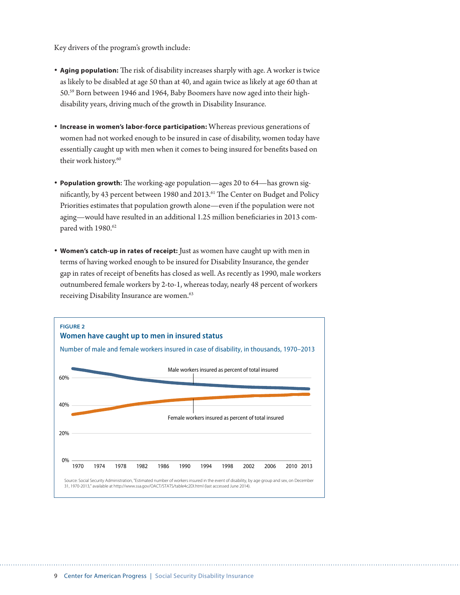Key drivers of the program's growth include:

- **• Aging population:** The risk of disability increases sharply with age. A worker is twice as likely to be disabled at age 50 than at 40, and again twice as likely at age 60 than at 50.59 Born between 1946 and 1964, Baby Boomers have now aged into their highdisability years, driving much of the growth in Disability Insurance.
- **• Increase in women's labor-force participation:** Whereas previous generations of women had not worked enough to be insured in case of disability, women today have essentially caught up with men when it comes to being insured for benefits based on their work history.<sup>60</sup>
- **• Population growth:** The working-age population—ages 20 to 64—has grown significantly, by 43 percent between 1980 and 2013.<sup>61</sup> The Center on Budget and Policy Priorities estimates that population growth alone—even if the population were not aging—would have resulted in an additional 1.25 million beneficiaries in 2013 compared with 1980.<sup>62</sup>
- **• Women's catch-up in rates of receipt:** Just as women have caught up with men in terms of having worked enough to be insured for Disability Insurance, the gender gap in rates of receipt of benefits has closed as well. As recently as 1990, male workers outnumbered female workers by 2-to-1, whereas today, nearly 48 percent of workers receiving Disability Insurance are women.<sup>63</sup>

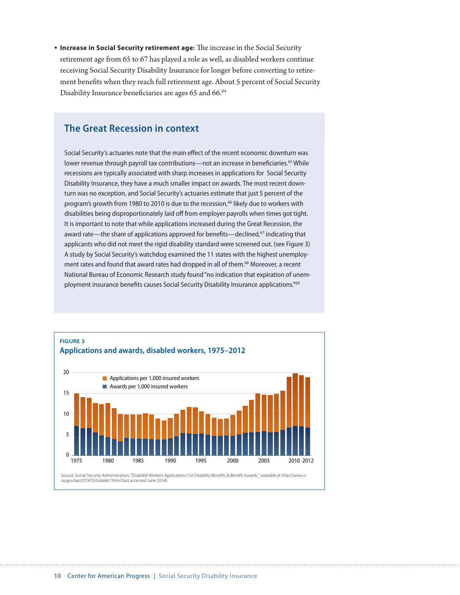**• Increase in Social Security retirement age:** The increase in the Social Security retirement age from 65 to 67 has played a role as well, as disabled workers continue receiving Social Security Disability Insurance for longer before converting to retirement benefits when they reach full retirement age. About 5 percent of Social Security Disability Insurance beneficiaries are ages 65 and 66.<sup>64</sup>

#### **The Great Recession in context**

Social Security's actuaries note that the main effect of the recent economic downturn was lower revenue through payroll tax contributions—not an increase in beneficiaries.<sup>65</sup> While recessions are typically associated with sharp increases in applications for Social Security Disability Insurance, they have a much smaller impact on awards. The most recent downturn was no exception, and Social Security's actuaries estimate that just 5 percent of the program's growth from 1980 to 2010 is due to the recession,<sup>66</sup> likely due to workers with disabilities being disproportionately laid off from employer payrolls when times got tight. It is important to note that while applications increased during the Great Recession, the award rate—the share of applications approved for benefits—declined, $67$  indicating that applicants who did not meet the rigid disability standard were screened out. (see Figure 3) A study by Social Security's watchdog examined the 11 states with the highest unemployment rates and found that award rates had dropped in all of them.<sup>68</sup> Moreover, a recent National Bureau of Economic Research study found "no indication that expiration of unemployment insurance benefits causes Social Security Disability Insurance applications."<sup>69</sup>

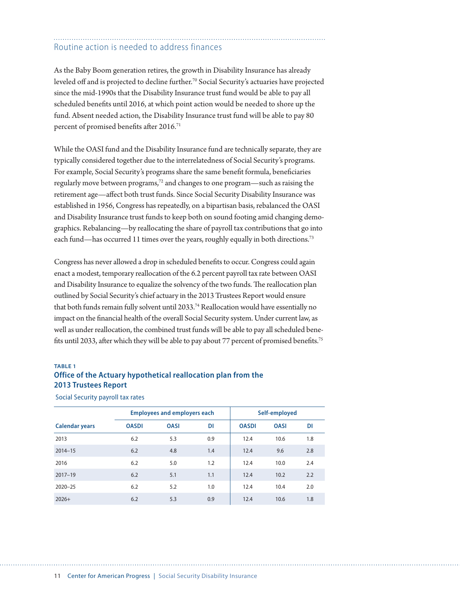## Routine action is needed to address finances

As the Baby Boom generation retires, the growth in Disability Insurance has already leveled off and is projected to decline further.<sup>70</sup> Social Security's actuaries have projected since the mid-1990s that the Disability Insurance trust fund would be able to pay all scheduled benefits until 2016, at which point action would be needed to shore up the fund. Absent needed action, the Disability Insurance trust fund will be able to pay 80 percent of promised benefits after 2016.<sup>71</sup>

While the OASI fund and the Disability Insurance fund are technically separate, they are typically considered together due to the interrelatedness of Social Security's programs. For example, Social Security's programs share the same benefit formula, beneficiaries regularly move between programs,72 and changes to one program—such as raising the retirement age—affect both trust funds. Since Social Security Disability Insurance was established in 1956, Congress has repeatedly, on a bipartisan basis, rebalanced the OASI and Disability Insurance trust funds to keep both on sound footing amid changing demographics. Rebalancing—by reallocating the share of payroll tax contributions that go into each fund—has occurred 11 times over the years, roughly equally in both directions.<sup>73</sup>

Congress has never allowed a drop in scheduled benefits to occur. Congress could again enact a modest, temporary reallocation of the 6.2 percent payroll tax rate between OASI and Disability Insurance to equalize the solvency of the two funds. The reallocation plan outlined by Social Security's chief actuary in the 2013 Trustees Report would ensure that both funds remain fully solvent until 2033.<sup>74</sup> Reallocation would have essentially no impact on the financial health of the overall Social Security system. Under current law, as well as under reallocation, the combined trust funds will be able to pay all scheduled benefits until 2033, after which they will be able to pay about 77 percent of promised benefits.75

#### **TABLE 1**

#### **Office of the Actuary hypothetical reallocation plan from the 2013 Trustees Report**

| <b>Calendar years</b> | <b>Employees and employers each</b> |             |           | Self-employed |             |     |
|-----------------------|-------------------------------------|-------------|-----------|---------------|-------------|-----|
|                       | <b>OASDI</b>                        | <b>OASI</b> | <b>DI</b> | <b>OASDI</b>  | <b>OASI</b> | DI  |
| 2013                  | 6.2                                 | 5.3         | 0.9       | 12.4          | 10.6        | 1.8 |
| $2014 - 15$           | 6.2                                 | 4.8         | 1.4       | 12.4          | 9.6         | 2.8 |
| 2016                  | 6.2                                 | 5.0         | 1.2       | 12.4          | 10.0        | 2.4 |
| $2017 - 19$           | 6.2                                 | 5.1         | 1.1       | 12.4          | 10.2        | 2.2 |
| $2020 - 25$           | 6.2                                 | 5.2         | 1.0       | 12.4          | 10.4        | 2.0 |
| $2026+$               | 6.2                                 | 5.3         | 0.9       | 12.4          | 10.6        | 1.8 |

#### Social Security payroll tax rates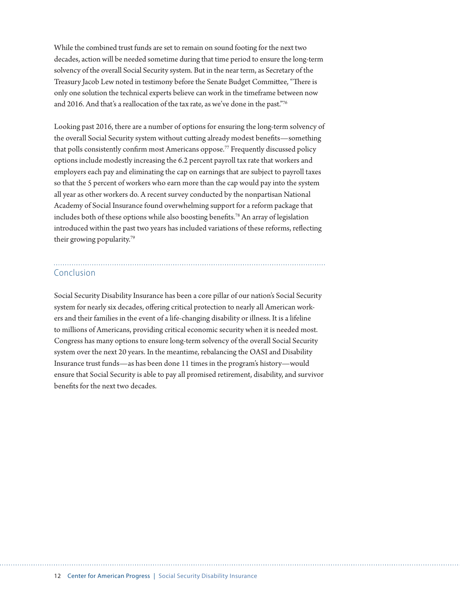While the combined trust funds are set to remain on sound footing for the next two decades, action will be needed sometime during that time period to ensure the long-term solvency of the overall Social Security system. But in the near term, as Secretary of the Treasury Jacob Lew noted in testimony before the Senate Budget Committee, "There is only one solution the technical experts believe can work in the timeframe between now and 2016. And that's a reallocation of the tax rate, as we've done in the past."76

Looking past 2016, there are a number of options for ensuring the long-term solvency of the overall Social Security system without cutting already modest benefits—something that polls consistently confirm most Americans oppose.77 Frequently discussed policy options include modestly increasing the 6.2 percent payroll tax rate that workers and employers each pay and eliminating the cap on earnings that are subject to payroll taxes so that the 5 percent of workers who earn more than the cap would pay into the system all year as other workers do. A recent survey conducted by the nonpartisan National Academy of Social Insurance found overwhelming support for a reform package that includes both of these options while also boosting benefits.78 An array of legislation introduced within the past two years has included variations of these reforms, reflecting their growing popularity.79

#### Conclusion

Social Security Disability Insurance has been a core pillar of our nation's Social Security system for nearly six decades, offering critical protection to nearly all American workers and their families in the event of a life-changing disability or illness. It is a lifeline to millions of Americans, providing critical economic security when it is needed most. Congress has many options to ensure long-term solvency of the overall Social Security system over the next 20 years. In the meantime, rebalancing the OASI and Disability Insurance trust funds—as has been done 11 times in the program's history—would ensure that Social Security is able to pay all promised retirement, disability, and survivor benefits for the next two decades.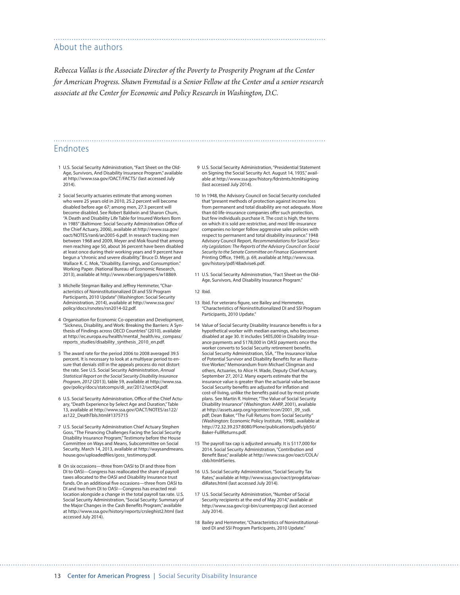#### About the authors

*Rebecca Vallas is the Associate Director of the Poverty to Prosperity Program at the Center for American Progress. Shawn Fremstad is a Senior Fellow at the Center and a senior research associate at the Center for Economic and Policy Research in Washington, D.C.*

#### Endnotes

- 1 U.S. Social Security Administration, "Fact Sheet on the Old-Age, Survivors, And Disability Insurance Program," available at <http://www.ssa.gov/OACT/FACTS/>(last accessed July 2014).
- 2 Social Security actuaries estimate that among women who were 25 years old in 2010, 25.2 percent will become disabled before age 67; among men, 27.3 percent will become disabled. See Robert Baldwin and Sharon Chum, "A Death and Disability Life Table for Insured Workers Born in 1985" (Baltimore: Social Security Administration Office of the Chief Actuary, 2006), available at [http://www.ssa.gov/](http://www.ssa.gov/oact/NOTES/ran6/an2005-6.pdf) [oact/NOTES/ran6/an2005-6.pdf.](http://www.ssa.gov/oact/NOTES/ran6/an2005-6.pdf) In research tracking men between 1968 and 2009, Meyer and Mok found that among men reaching age 50, about 36 percent have been disabled at least once during their working years and 9 percent have begun a "chronic and severe disability." Bruce D. Meyer and Wallace K. C. Mok, "Disability, Earnings, and Consumption." Working Paper. (National Bureau of Economic Research, 2013), available at <http://www.nber.org/papers/w18869>.
- 3 Michelle Stegman Bailey and Jeffrey Hemmeter, "Characteristics of Noninstitutionalized DI and SSI Program Participants, 2010 Update" (Washington: Social Security Administration, 2014), available at [http://www.ssa.gov/](http://www.ssa.gov/policy/docs/rsnotes/rsn2014-02.pdf) [policy/docs/rsnotes/rsn2014-02.pdf](http://www.ssa.gov/policy/docs/rsnotes/rsn2014-02.pdf).
- 4 Organisation for Economic Co-operation and Development, "Sickness, Disability, and Work: Breaking the Barriers: A Synthesis of Findings across OECD Countries" (2010), available at [http://ec.europa.eu/health/mental\\_health/eu\\_compass/](http://ec.europa.eu/health/mental_health/eu_compass/reports_studies/disability_synthesis_2010_en.pdf) [reports\\_studies/disability\\_synthesis\\_2010\\_en.pdf](http://ec.europa.eu/health/mental_health/eu_compass/reports_studies/disability_synthesis_2010_en.pdf).
- 5 The award rate for the period 2006 to 2008 averaged 39.5 percent. It is necessary to look at a multiyear period to ensure that denials still in the appeals process do not distort the rate. See U.S. Social Security Administration, *Annual Statistical Report on the Social Security Disability Insurance Program*, *2012* (2013), table 59, available at [http://www.ssa.](http://www.ssa.gov/policy/docs/statcomps/di_asr/2012/sect04.pdf) [gov/policy/docs/statcomps/di\\_asr/2012/sect04.pdf.](http://www.ssa.gov/policy/docs/statcomps/di_asr/2012/sect04.pdf)
- 6 U.S. Social Security Administration, Office of the Chief Actuary, "Death Experience by Select Age and Duration," Table 13, available at http://www.ssa.gov/OACT/NOTES/as122/ as122\_DeathTbls.html#1375715
- 7 U.S. Social Security Administration Chief Actuary Stephen Goss, "The Financing Challenges Facing the Social Security Disability Insurance Program," Testimony before the House Committee on Ways and Means, Subcommittee on Social Security, March 14, 2013, available at [http://waysandmeans.](http://waysandmeans.house.gov/uploadedfiles/goss_testimony.pdf) [house.gov/uploadedfiles/goss\\_testimony.pdf](http://waysandmeans.house.gov/uploadedfiles/goss_testimony.pdf).
- 8 On six occasions—three from OASI to DI and three from DI to OASI—Congress has reallocated the share of payroll taxes allocated to the OASI and Disability Insurance trust funds. On an additional five occasions—three from OASI to DI and two from DI to OASI—Congress has enacted reallocation alongside a change in the total payroll tax rate. U.S. Social Security Administration, "Social Security: Summary of the Major Changes in the Cash Benefits Program," available at <http://www.ssa.gov/history/reports/crsleghist2.html>(last accessed July 2014).
- 9 U.S. Social Security Administration, "Presidential Statement on Signing the Social Security Act. August 14, 1935," available at<http://www.ssa.gov/history/fdrstmts.html#signing> (last accessed July 2014).
- 10 In 1948, the Advisory Council on Social Security concluded that "present methods of protection against income loss from permanent and total disability are not adequate. More than 60 life-insurance companies offer such protection, but few individuals purchase it. The cost is high, the terms on which it is sold are restrictive, and most life-insurance companies no longer follow aggressive sales policies with respect to permanent and total disability insurance." 1948 Advisory Council Report, *Recommendations for Social Security Legislation: The Reports of the Advisory Council on Social Security to the Senate Committee on Finance* (Government Printing Office, 1949), p. 69, available at [http://www.ssa.](http://www.ssa.gov/history/pdf/48advise6.pdf) [gov/history/pdf/48advise6.pdf](http://www.ssa.gov/history/pdf/48advise6.pdf).
- 11 U.S. Social Security Administration, "Fact Sheet on the Old-Age, Survivors, And Disability Insurance Program."

12 Ibid.

- 13 Ibid. For veterans figure, see Bailey and Hemmeter, "Characteristics of Noninstitutionalized DI and SSI Program Participants, 2010 Update."
- 14 Value of Social Security Disability Insurance benefits is for a hypothetical worker with median earnings, who becomes disabled at age 30. It includes \$405,000 in Disability Insurance payments and \$178,000 in OASI payments once the worker converts to Social Security retirement benefits. Social Security Administration, SSA, "The Insurance Value of Potential Survivor and Disability Benefits for an Illustrative Worker," Memorandum from Michael Clingman and others, Actuaries, to Alice H. Wade, Deputy Chief Actuary, September 27, 2012. Many experts estimate that the insurance value is greater than the actuarial value because Social Security benefits are adjusted for inflation and cost-of-living, unlike the benefits paid out by most private plans. See Martin R. Holmer, "The Value of Social Security Disability Insurance" (Washington: AARP, 2001), available at [http://assets.aarp.org/rgcenter/econ/2001\\_09\\_ssdi.](http://assets.aarp.org/rgcenter/econ/2001_09_ssdi.pdf) [pdf](http://assets.aarp.org/rgcenter/econ/2001_09_ssdi.pdf); Dean Baker, "The Full Returns from Social Security" (Washington: Economic Policy Institute, 1998), available at [http://72.32.39.237:8080/Plone/publications/pdfs/pb50/](http://72.32.39.237:8080/Plone/publications/pdfs/pb50/Baker-FullReturns.pdf) [Baker-FullReturns.pdf.](http://72.32.39.237:8080/Plone/publications/pdfs/pb50/Baker-FullReturns.pdf)
- 15 The payroll tax cap is adjusted annually. It is \$117,000 for 2014. Social Security Administration, "Contribution and Benefit Base," available at [http://www.ssa.gov/oact/COLA/](http://www.ssa.gov/oact/COLA/cbb.html#Series) [cbb.html#Series](http://www.ssa.gov/oact/COLA/cbb.html#Series).
- 16 U.S. Social Security Administration, "Social Security Tax Rates," available at [http://www.ssa.gov/oact/progdata/oas](http://www.ssa.gov/oact/progdata/oasdiRates.html)[diRates.html](http://www.ssa.gov/oact/progdata/oasdiRates.html) (last accessed July 2014).
- 17 U.S. Social Security Administration, "Number of Social Security recipients at the end of May 2014," available at http://www.ssa.gov/cgi-bin/currentpay.cgi (last accessed July 2014).
- 18 Bailey and Hemmeter, "Characteristics of Noninstitutionalized DI and SSI Program Participants, 2010 Update."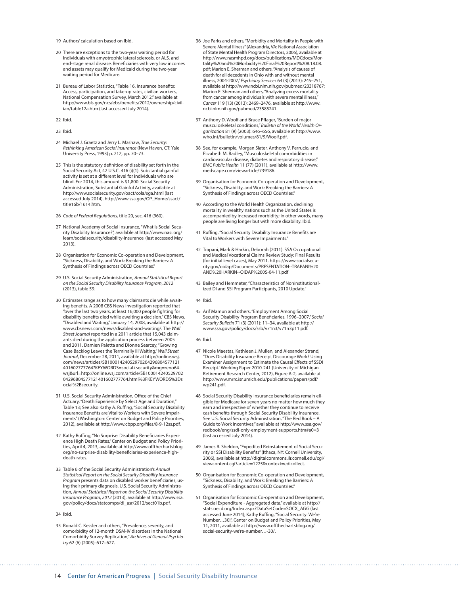19 Authors' calculation based on Ibid.

- 20 There are exceptions to the two-year waiting period for individuals with amyotrophic lateral sclerosis, or ALS, and end-stage renal disease. Beneficiaries with very low incomes and assets may qualify for Medicaid during the two-year waiting period for Medicare.
- 21 Bureau of Labor Statistics, "Table 16. Insurance benefits: Access, participation, and take-up rates, civilian workers, National Compensation Survey, March 2012," available at [http://www.bls.gov/ncs/ebs/benefits/2012/ownership/civil](http://www.bls.gov/ncs/ebs/benefits/2012/ownership/civilian/table12a.htm)[ian/table12a.htm](http://www.bls.gov/ncs/ebs/benefits/2012/ownership/civilian/table12a.htm) (last accessed July 2014).

22 Ibid.

23 Ibid.

- 24 Michael J. Graetz and Jerry L. Mashaw, *True Security: Rethinking American Social Insurance* (New Haven, CT: Yale University Press, 1993) p. 212, pp. 70–73.
- 25 This is the statutory definition of disability set forth in the Social Security Act, 42 U.S.C. 416 (i)(1). Substantial gainful activity is set at a different level for individuals who are blind. For 2014, this amount is \$1,800. Social Security Administration, Substantial Gainful Activity, available at http://www.socialsecurity.gov/oact/cola/sga.html (last accessed July 2014). [http://www.ssa.gov/OP\\_Home/ssact/](http://www.ssa.gov/OP_Home/ssact/title16b/1614.htm) [title16b/1614.htm](http://www.ssa.gov/OP_Home/ssact/title16b/1614.htm).
- 26 *Code of Federal Regulations,* title 20, sec. 416 (960).
- 27 National Academy of Social Insurance, "What is Social Security Disability Insurance?", available at [http://www.nasi.org/](http://www.nasi.org/learn/socialsecurity/disability-insurance) [learn/socialsecurity/disability-insurance](http://www.nasi.org/learn/socialsecurity/disability-insurance) (last accessed May 2013).
- 28 Organisation for Economic Co-operation and Development, "Sickness, Disability, and Work: Breaking the Barriers: A Synthesis of Findings across OECD Countries."
- 29 U.S. Social Security Administration, *Annual Statistical Report on the Social Security Disability Insurance Program*, *2012* (2013), table 59.
- 30 Estimates range as to how many claimants die while awaiting benefits. A 2008 CBS News investigation reported that "over the last two years, at least 16,000 people fighting for disability benefits died while awaiting a decision." CBS News, "Disabled and Waiting," January 14, 2008, available at [http://](http://www.cbsnews.com/news/disabled-and-waiting/) [www.cbsnews.com/news/disabled-and-waiting/.](http://www.cbsnews.com/news/disabled-and-waiting/) The *Wall Street Journal* reported in a 2011 article that 15,043 claimants died during the application process between 2005 and 2011. Damien Paletta and Dionne Searcey, "Growing Case Backlog Leaves the Terminally Ill Waiting," *Wall Street Journal*, December 28, 2011, available at [http://online.wsj.](http://online.wsj.com/news/articles/SB10001424052970204296804577121401602777764?KEYWORDS=social+security&mg=reno64-wsj&url=http://online.wsj.com/article/SB10001424052970204296804577121401602777764.html%3FKEYWORDS%3Dsocial%2Bsecurity) [com/news/articles/SB10001424052970204296804577121](http://online.wsj.com/news/articles/SB10001424052970204296804577121401602777764?KEYWORDS=social+security&mg=reno64-wsj&url=http://online.wsj.com/article/SB10001424052970204296804577121401602777764.html%3FKEYWORDS%3Dsocial%2Bsecurity) [401602777764?KEYWORDS=social+security&mg=reno64](http://online.wsj.com/news/articles/SB10001424052970204296804577121401602777764?KEYWORDS=social+security&mg=reno64-wsj&url=http://online.wsj.com/article/SB10001424052970204296804577121401602777764.html%3FKEYWORDS%3Dsocial%2Bsecurity) [wsj&url=http://online.wsj.com/article/SB100014240529702](http://online.wsj.com/news/articles/SB10001424052970204296804577121401602777764?KEYWORDS=social+security&mg=reno64-wsj&url=http://online.wsj.com/article/SB10001424052970204296804577121401602777764.html%3FKEYWORDS%3Dsocial%2Bsecurity) [04296804577121401602777764.html%3FKEYWORDS%3Ds](http://online.wsj.com/news/articles/SB10001424052970204296804577121401602777764?KEYWORDS=social+security&mg=reno64-wsj&url=http://online.wsj.com/article/SB10001424052970204296804577121401602777764.html%3FKEYWORDS%3Dsocial%2Bsecurity) [ocial%2Bsecurity.](http://online.wsj.com/news/articles/SB10001424052970204296804577121401602777764?KEYWORDS=social+security&mg=reno64-wsj&url=http://online.wsj.com/article/SB10001424052970204296804577121401602777764.html%3FKEYWORDS%3Dsocial%2Bsecurity)
- 31 U.S. Social Security Administration, Office of the Chief Actuary, "Death Experience by Select Age and Duration," Table 13; See also Kathy A. Ruffing, "Social Security Disability Insurance Benefits are Vital to Workers with Severe Impairments" (Washington: Center on Budget and Policy Priorities, 2012), available at http://www.cbpp.org/files/8-9-12ss.pdf.
- 32 Kathy Ruffing, "No Surprise: Disability Beneficiaries Experience High Death Rates," Center on Budget and Policy Priori-ties, April 4, 2013, available at [http://www.offthechartsblog.](http://www.offthechartsblog.org/no-surprise-disability-beneficiaries-experience-high-death-rates) [org/no-surprise-disability-beneficiaries-experience-high](http://www.offthechartsblog.org/no-surprise-disability-beneficiaries-experience-high-death-rates)[death-rates.](http://www.offthechartsblog.org/no-surprise-disability-beneficiaries-experience-high-death-rates)
- 33 Table 6 of the Social Security Administration's *Annual Statistical Report on the Social Security Disability Insurance Program* presents data on disabled worker beneficiaries, using their primary diagnosis. U.S. Social Security Administration, *Annual Statistical Report on the Social Security Disability Insurance Program*, *2012* (2013), available at [http://www.ssa.](http://www.ssa.gov/policy/docs/statcomps/di_asr/2012/sect01b.pdf) [gov/policy/docs/statcomps/di\\_asr/2012/sect01b.pdf](http://www.ssa.gov/policy/docs/statcomps/di_asr/2012/sect01b.pdf).
- 34 Ibid.
- 35 Ronald C. Kessler and others, "Prevalence, severity, and comorbidity of 12-month DSM-IV disorders in the National Comorbidity Survey Replication," *Archives of General Psychiatry* 62 (6) (2005): 617–627.
- 36 Joe Parks and others, "Morbidity and Mortality in People with Severe Mental Illness" (Alexandria, VA: National Association of State Mental Health Program Directors, 2006), available at [http://www.nasmhpd.org/docs/publications/MDCdocs/Mor](http://www.nasmhpd.org/docs/publications/MDCdocs/Mortality%20and%20Morbidity%20Final%20Report%208.18.08.pdf)[tality%20and%20Morbidity%20Final%20Report%208.18.08.](http://www.nasmhpd.org/docs/publications/MDCdocs/Mortality%20and%20Morbidity%20Final%20Report%208.18.08.pdf) [pdf;](http://www.nasmhpd.org/docs/publications/MDCdocs/Mortality%20and%20Morbidity%20Final%20Report%208.18.08.pdf) Marion E. Sherman and others, "Analysis of causes of death for all decedents in Ohio with and without mental illness, 2004-2007," *Psychiatry Services* 64 (3) (2013): 245–251, available at<http://www.ncbi.nlm.nih.gov/pubmed/23318767>; Marion E. Sherman and others, "Analyzing excess mortality from cancer among individuals with severe mental illness," *Cancer* 119 (13) (2013): 2469–2476, available at [http://www.](http://www.ncbi.nlm.nih.gov/pubmed/23585241) [ncbi.nlm.nih.gov/pubmed/23585241](http://www.ncbi.nlm.nih.gov/pubmed/23585241).
- 37 Anthony D. Woolf and Bruce Pflager, "Burden of major musculoskeletal conditions," *Bulletin of the World Health Organization* 81 (9) (2003): 646–656, available at [http://www.](http://www.who.int/bulletin/volumes/81/9/Woolf.pdf) [who.int/bulletin/volumes/81/9/Woolf.pdf.](http://www.who.int/bulletin/volumes/81/9/Woolf.pdf)
- 38 See, for example, Morgan Slater, Anthony V. Perrucio, and Elizabeth M. Badley, "Musculoskeletal comorbidities in cardiovascular disease, diabetes and respiratory disease," *BMC Public Health* 11 (77) (2011), available at [http://www.](http://www.medscape.com/viewarticle/739186) [medscape.com/viewarticle/739186](http://www.medscape.com/viewarticle/739186).
- 39 Organisation for Economic Co-operation and Development, "Sickness, Disability, and Work: Breaking the Barriers: A Synthesis of Findings across OECD Countries."
- 40 According to the World Health Organization, declining mortality in wealthy nations such as the United States is accompanied by increased morbidity; in other words, many people are living longer but with more disability. Ibid.
- 41 Ruffing, "Social Security Disability Insurance Benefits are Vital to Workers with Severe Impairments.
- 42 Trapani, Mark & Harkin, Deborah (2011). SSA Occupational and Medical Vocational Claims Review Study: Final Results (for initial level cases), May 2011. [https://www.socialsecu](https://www.socialsecurity.gov/oidap/Documents/PRESENTATION--TRAPANI%20AND%20HARKIN--OIDAP%2005-04-11.pdf)[rity.gov/oidap/Documents/PRESENTATION--TRAPANI%20](https://www.socialsecurity.gov/oidap/Documents/PRESENTATION--TRAPANI%20AND%20HARKIN--OIDAP%2005-04-11.pdf) [AND%20HARKIN--OIDAP%2005-04-11.pdf](https://www.socialsecurity.gov/oidap/Documents/PRESENTATION--TRAPANI%20AND%20HARKIN--OIDAP%2005-04-11.pdf)
- 43 Bailey and Hemmeter, "Characteristics of Noninstitutionalized DI and SSI Program Participants, 2010 Update."

44 Ibid.

45 Arif Mamun and others, "Employment Among Social Security Disability Program Beneficiaries, 1996–2007," *Social Security Bulletin* 71 (3) (2011): 11–34, available at http:// www.ssa.gov/policy/docs/ssb/v71n3/v71n3p11.pdf.

#### 46 Ibid.

- 47 Nicole Maestas, Kathleen J. Mullen, and Alexander Strand, "Does Disability Insurance Receipt Discourage Work? Using Examiner Assignment to Estimate the Causal Effects of SSDI Receipt." Working Paper 2010-241 (University of Michigan Retirement Research Center, 2012), Figure A-2, available at http://www.mrrc.isr.umich.edu/publications/papers/pdf/ wp241.pdf.
- 48 Social Security Disability Insurance beneficiaries remain eligible for Medicare for seven years no matter how much they earn and irrespective of whether they continue to receive cash benefits through Social Security Disability Insurance. See U.S. Social Security Administration, "The Red Book – A Guide to Work Incentives," available at [http://www.ssa.gov/](http://www.ssa.gov/redbook/eng/ssdi-only-employment-supports.htm#a0=3) [redbook/eng/ssdi-only-employment-supports.htm#a0=3](http://www.ssa.gov/redbook/eng/ssdi-only-employment-supports.htm#a0=3) (last accessed July 2014).
- 49 James R. Sheldon, "Expedited Reinstatement of Social Security or SSI Disability Benefits" (Ithaca, NY: Cornell University, 2006), available at http://digitalcommons.ilr.cornell.edu/cgi/ viewcontent.cgi?article=1225&context=edicollect.
- 50 Organisation for Economic Co-operation and Development, "Sickness, Disability, and Work: Breaking the Barriers: A Synthesis of Findings across OECD Countries."
- 51 Organisation for Economic Co-operation and Development, "Social Expenditure - Aggregated data," available at [http://](http://stats.oecd.org/Index.aspx?DataSetCode=SOCX_AGG) [stats.oecd.org/Index.aspx?DataSetCode=SOCX\\_AGG](http://stats.oecd.org/Index.aspx?DataSetCode=SOCX_AGG) (last accessed June 2014); Kathy Ruffing, "Social Security: We're Number…30!", Center on Budget and Policy Priorities, May 11, 2011, available at http://www.offthechartsblog.org/ social-security-we're-number…-30/.